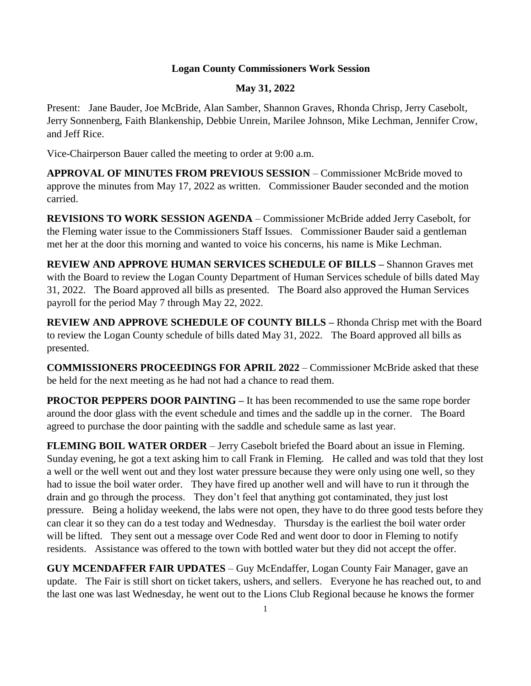## **Logan County Commissioners Work Session**

## **May 31, 2022**

Present: Jane Bauder, Joe McBride, Alan Samber, Shannon Graves, Rhonda Chrisp, Jerry Casebolt, Jerry Sonnenberg, Faith Blankenship, Debbie Unrein, Marilee Johnson, Mike Lechman, Jennifer Crow, and Jeff Rice.

Vice-Chairperson Bauer called the meeting to order at 9:00 a.m.

**APPROVAL OF MINUTES FROM PREVIOUS SESSION** – Commissioner McBride moved to approve the minutes from May 17, 2022 as written. Commissioner Bauder seconded and the motion carried.

**REVISIONS TO WORK SESSION AGENDA** – Commissioner McBride added Jerry Casebolt, for the Fleming water issue to the Commissioners Staff Issues. Commissioner Bauder said a gentleman met her at the door this morning and wanted to voice his concerns, his name is Mike Lechman.

**REVIEW AND APPROVE HUMAN SERVICES SCHEDULE OF BILLS –** Shannon Graves met with the Board to review the Logan County Department of Human Services schedule of bills dated May 31, 2022. The Board approved all bills as presented. The Board also approved the Human Services payroll for the period May 7 through May 22, 2022.

**REVIEW AND APPROVE SCHEDULE OF COUNTY BILLS –** Rhonda Chrisp met with the Board to review the Logan County schedule of bills dated May 31, 2022. The Board approved all bills as presented.

**COMMISSIONERS PROCEEDINGS FOR APRIL 2022** – Commissioner McBride asked that these be held for the next meeting as he had not had a chance to read them.

**PROCTOR PEPPERS DOOR PAINTING –** It has been recommended to use the same rope border around the door glass with the event schedule and times and the saddle up in the corner. The Board agreed to purchase the door painting with the saddle and schedule same as last year.

**FLEMING BOIL WATER ORDER** – Jerry Casebolt briefed the Board about an issue in Fleming. Sunday evening, he got a text asking him to call Frank in Fleming. He called and was told that they lost a well or the well went out and they lost water pressure because they were only using one well, so they had to issue the boil water order. They have fired up another well and will have to run it through the drain and go through the process. They don't feel that anything got contaminated, they just lost pressure. Being a holiday weekend, the labs were not open, they have to do three good tests before they can clear it so they can do a test today and Wednesday. Thursday is the earliest the boil water order will be lifted. They sent out a message over Code Red and went door to door in Fleming to notify residents. Assistance was offered to the town with bottled water but they did not accept the offer.

**GUY MCENDAFFER FAIR UPDATES** – Guy McEndaffer, Logan County Fair Manager, gave an update. The Fair is still short on ticket takers, ushers, and sellers. Everyone he has reached out, to and the last one was last Wednesday, he went out to the Lions Club Regional because he knows the former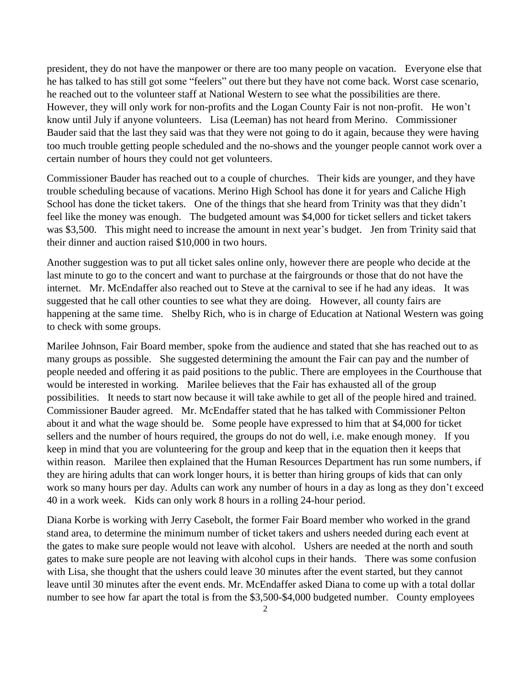president, they do not have the manpower or there are too many people on vacation. Everyone else that he has talked to has still got some "feelers" out there but they have not come back. Worst case scenario, he reached out to the volunteer staff at National Western to see what the possibilities are there. However, they will only work for non-profits and the Logan County Fair is not non-profit. He won't know until July if anyone volunteers. Lisa (Leeman) has not heard from Merino. Commissioner Bauder said that the last they said was that they were not going to do it again, because they were having too much trouble getting people scheduled and the no-shows and the younger people cannot work over a certain number of hours they could not get volunteers.

Commissioner Bauder has reached out to a couple of churches. Their kids are younger, and they have trouble scheduling because of vacations. Merino High School has done it for years and Caliche High School has done the ticket takers. One of the things that she heard from Trinity was that they didn't feel like the money was enough. The budgeted amount was \$4,000 for ticket sellers and ticket takers was \$3,500. This might need to increase the amount in next year's budget. Jen from Trinity said that their dinner and auction raised \$10,000 in two hours.

Another suggestion was to put all ticket sales online only, however there are people who decide at the last minute to go to the concert and want to purchase at the fairgrounds or those that do not have the internet. Mr. McEndaffer also reached out to Steve at the carnival to see if he had any ideas. It was suggested that he call other counties to see what they are doing. However, all county fairs are happening at the same time. Shelby Rich, who is in charge of Education at National Western was going to check with some groups.

Marilee Johnson, Fair Board member, spoke from the audience and stated that she has reached out to as many groups as possible. She suggested determining the amount the Fair can pay and the number of people needed and offering it as paid positions to the public. There are employees in the Courthouse that would be interested in working. Marilee believes that the Fair has exhausted all of the group possibilities. It needs to start now because it will take awhile to get all of the people hired and trained. Commissioner Bauder agreed. Mr. McEndaffer stated that he has talked with Commissioner Pelton about it and what the wage should be. Some people have expressed to him that at \$4,000 for ticket sellers and the number of hours required, the groups do not do well, i.e. make enough money. If you keep in mind that you are volunteering for the group and keep that in the equation then it keeps that within reason. Marilee then explained that the Human Resources Department has run some numbers, if they are hiring adults that can work longer hours, it is better than hiring groups of kids that can only work so many hours per day. Adults can work any number of hours in a day as long as they don't exceed 40 in a work week. Kids can only work 8 hours in a rolling 24-hour period.

Diana Korbe is working with Jerry Casebolt, the former Fair Board member who worked in the grand stand area, to determine the minimum number of ticket takers and ushers needed during each event at the gates to make sure people would not leave with alcohol. Ushers are needed at the north and south gates to make sure people are not leaving with alcohol cups in their hands. There was some confusion with Lisa, she thought that the ushers could leave 30 minutes after the event started, but they cannot leave until 30 minutes after the event ends. Mr. McEndaffer asked Diana to come up with a total dollar number to see how far apart the total is from the \$3,500-\$4,000 budgeted number. County employees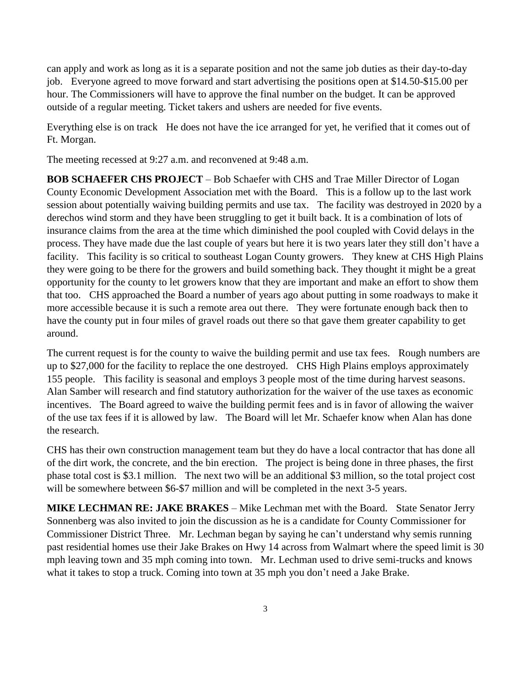can apply and work as long as it is a separate position and not the same job duties as their day-to-day job. Everyone agreed to move forward and start advertising the positions open at \$14.50-\$15.00 per hour. The Commissioners will have to approve the final number on the budget. It can be approved outside of a regular meeting. Ticket takers and ushers are needed for five events.

Everything else is on track He does not have the ice arranged for yet, he verified that it comes out of Ft. Morgan.

The meeting recessed at 9:27 a.m. and reconvened at 9:48 a.m.

**BOB SCHAEFER CHS PROJECT** – Bob Schaefer with CHS and Trae Miller Director of Logan County Economic Development Association met with the Board. This is a follow up to the last work session about potentially waiving building permits and use tax. The facility was destroyed in 2020 by a derechos wind storm and they have been struggling to get it built back. It is a combination of lots of insurance claims from the area at the time which diminished the pool coupled with Covid delays in the process. They have made due the last couple of years but here it is two years later they still don't have a facility. This facility is so critical to southeast Logan County growers. They knew at CHS High Plains they were going to be there for the growers and build something back. They thought it might be a great opportunity for the county to let growers know that they are important and make an effort to show them that too. CHS approached the Board a number of years ago about putting in some roadways to make it more accessible because it is such a remote area out there. They were fortunate enough back then to have the county put in four miles of gravel roads out there so that gave them greater capability to get around.

The current request is for the county to waive the building permit and use tax fees. Rough numbers are up to \$27,000 for the facility to replace the one destroyed. CHS High Plains employs approximately 155 people. This facility is seasonal and employs 3 people most of the time during harvest seasons. Alan Samber will research and find statutory authorization for the waiver of the use taxes as economic incentives. The Board agreed to waive the building permit fees and is in favor of allowing the waiver of the use tax fees if it is allowed by law. The Board will let Mr. Schaefer know when Alan has done the research.

CHS has their own construction management team but they do have a local contractor that has done all of the dirt work, the concrete, and the bin erection. The project is being done in three phases, the first phase total cost is \$3.1 million. The next two will be an additional \$3 million, so the total project cost will be somewhere between \$6-\$7 million and will be completed in the next 3-5 years.

**MIKE LECHMAN RE: JAKE BRAKES** – Mike Lechman met with the Board. State Senator Jerry Sonnenberg was also invited to join the discussion as he is a candidate for County Commissioner for Commissioner District Three. Mr. Lechman began by saying he can't understand why semis running past residential homes use their Jake Brakes on Hwy 14 across from Walmart where the speed limit is 30 mph leaving town and 35 mph coming into town. Mr. Lechman used to drive semi-trucks and knows what it takes to stop a truck. Coming into town at 35 mph you don't need a Jake Brake.